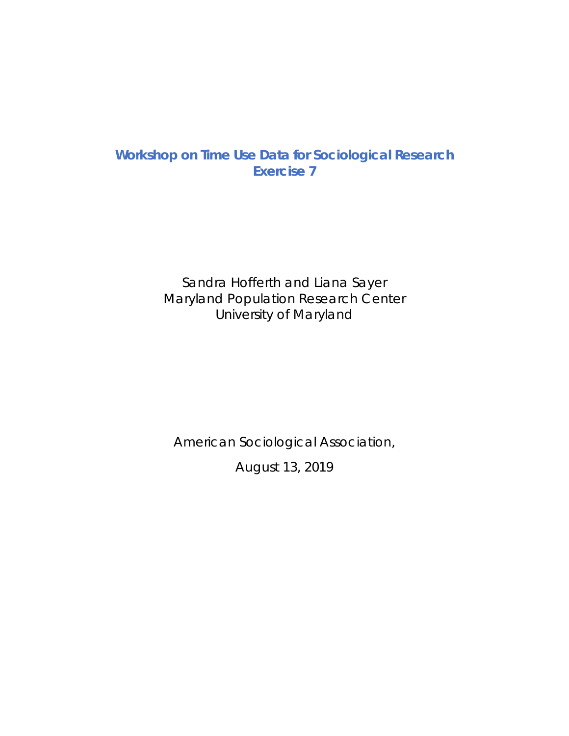# **Workshop on Time Use Data for Sociological Research Exercise 7**

Sandra Hofferth and Liana Sayer Maryland Population Research Center University of Maryland

American Sociological Association,

August 13, 2019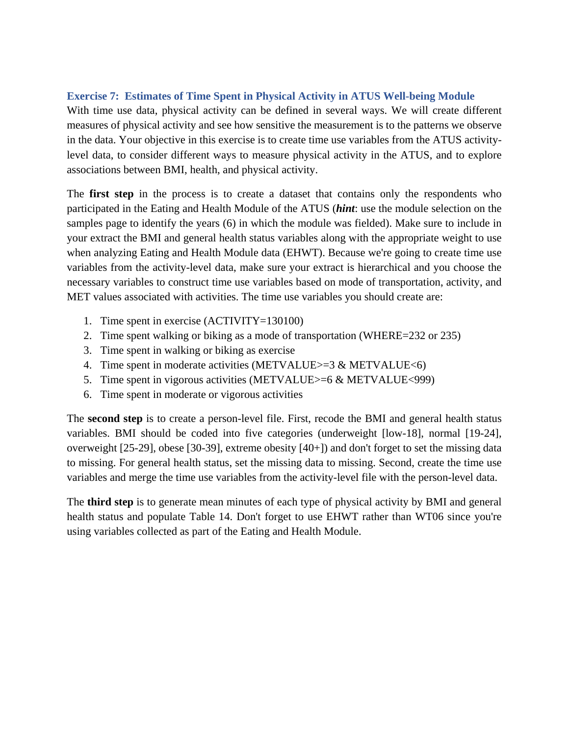## **Exercise 7: Estimates of Time Spent in Physical Activity in ATUS Well-being Module**

With time use data, physical activity can be defined in several ways. We will create different measures of physical activity and see how sensitive the measurement is to the patterns we observe in the data. Your objective in this exercise is to create time use variables from the ATUS activitylevel data, to consider different ways to measure physical activity in the ATUS, and to explore associations between BMI, health, and physical activity.

The **first step** in the process is to create a dataset that contains only the respondents who participated in the Eating and Health Module of the ATUS (*hint*: use the module selection on the samples page to identify the years (6) in which the module was fielded). Make sure to include in your extract the BMI and general health status variables along with the appropriate weight to use when analyzing Eating and Health Module data (EHWT). Because we're going to create time use variables from the activity-level data, make sure your extract is hierarchical and you choose the necessary variables to construct time use variables based on mode of transportation, activity, and MET values associated with activities. The time use variables you should create are:

- 1. Time spent in exercise (ACTIVITY=130100)
- 2. Time spent walking or biking as a mode of transportation (WHERE=232 or 235)
- 3. Time spent in walking or biking as exercise
- 4. Time spent in moderate activities (METVALUE $>=$ 3 & METVALUE $<$ 6)
- 5. Time spent in vigorous activities (METVALUE>=6 & METVALUE<999)
- 6. Time spent in moderate or vigorous activities

The **second step** is to create a person-level file. First, recode the BMI and general health status variables. BMI should be coded into five categories (underweight [low-18], normal [19-24], overweight [25-29], obese [30-39], extreme obesity [40+]) and don't forget to set the missing data to missing. For general health status, set the missing data to missing. Second, create the time use variables and merge the time use variables from the activity-level file with the person-level data.

The **third step** is to generate mean minutes of each type of physical activity by BMI and general health status and populate Table 14. Don't forget to use EHWT rather than WT06 since you're using variables collected as part of the Eating and Health Module.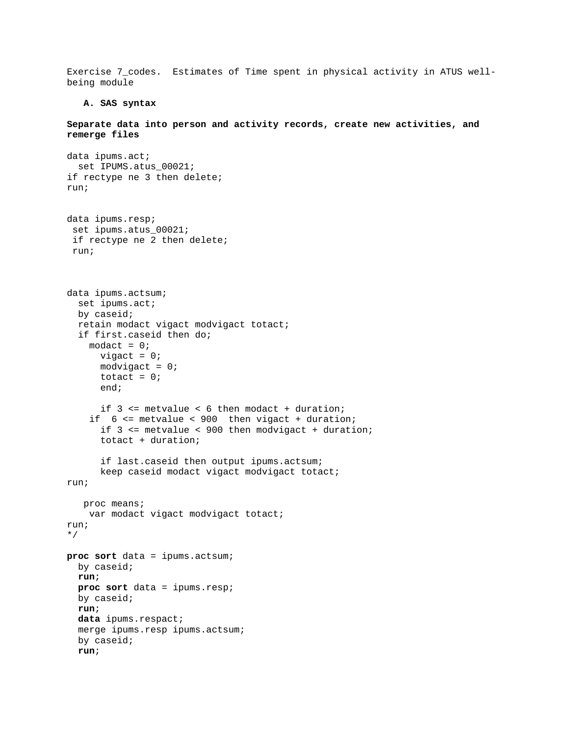Exercise 7\_codes. Estimates of Time spent in physical activity in ATUS wellbeing module

#### **A. SAS syntax**

**Separate data into person and activity records, create new activities, and remerge files** 

```
data ipums.act; 
  set IPUMS.atus 00021;
if rectype ne 3 then delete; 
run; 
data ipums.resp; 
  set ipums.atus_00021; 
  if rectype ne 2 then delete; 
  run; 
data ipums.actsum; 
   set ipums.act; 
   by caseid; 
   retain modact vigact modvigact totact; 
   if first.caseid then do; 
    modact = 0;vigact = 0;
      modvigact = 0;totact = 0; end; 
       if 3 <= metvalue < 6 then modact + duration; 
     if 6 <= metvalue < 900 then vigact + duration; 
       if 3 <= metvalue < 900 then modvigact + duration; 
       totact + duration; 
       if last.caseid then output ipums.actsum; 
       keep caseid modact vigact modvigact totact; 
run; 
   proc means;
     var modact vigact modvigact totact; 
run; 
*/ 
proc sort data = ipums.actsum; 
   by caseid; 
   run; 
   proc sort data = ipums.resp; 
   by caseid; 
   run; 
   data ipums.respact; 
   merge ipums.resp ipums.actsum; 
   by caseid; 
   run;
```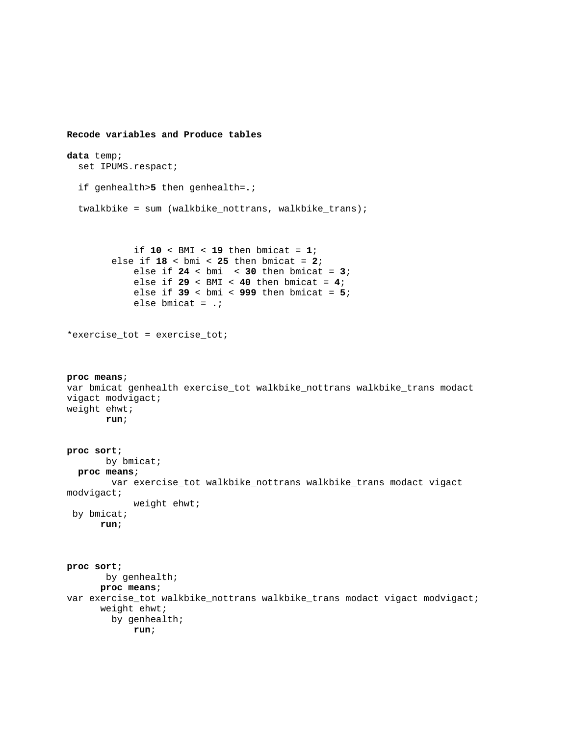```
Recode variables and Produce tables 
data temp; 
   set IPUMS.respact; 
   if genhealth>5 then genhealth=.; 
   twalkbike = sum (walkbike_nottrans, walkbike_trans); 
              if 10 < BMI < 19 then bmicat = 1; 
         else if 18 < bmi < 25 then bmicat = 2; 
             else if 24 < bmi < 30 then bmicat = 3; 
             else if 29 < BMI < 40 then bmicat = 4; 
             else if 39 < bmi < 999 then bmicat = 5; 
             else bmicat = .; 
*exercise_tot = exercise_tot; 
proc means; 
var bmicat genhealth exercise_tot walkbike_nottrans walkbike_trans modact 
vigact modvigact; 
weight ehwt; 
        run; 
proc sort; 
       by bmicat;
   proc means; 
         var exercise_tot walkbike_nottrans walkbike_trans modact vigact 
modvigact; 
             weight ehwt; 
 by bmicat;
      run; 
proc sort; 
        by genhealth; 
      proc means; 
var exercise_tot walkbike_nottrans walkbike_trans modact vigact modvigact; 
       weight ehwt; 
         by genhealth; 
             run;
```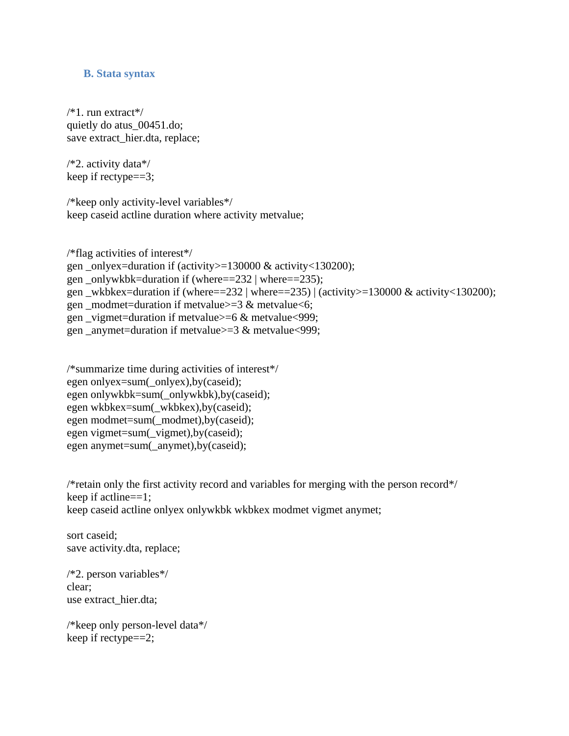### **B. Stata syntax**

/\*1. run extract\*/ quietly do atus\_00451.do; save extract\_hier.dta, replace;

/\*2. activity data\*/ keep if rectype==3;

/\*keep only activity-level variables\*/ keep caseid actline duration where activity metvalue;

/\*flag activities of interest\*/ gen onlyex=duration if (activity $>130000 \& \text{activity} < 130200$ ); gen \_onlywkbk=duration if (where==232 | where==235); gen wkbkex=duration if (where==232 | where==235) | (activity>=130000 & activity<130200); gen \_modmet=duration if metvalue $>=$ 3  $\&$  metvalue $<$ 6; gen vigmet=duration if metvalue $>=6 \& \text{metvalue} < 999$ ; gen \_anymet=duration if metvalue $>=$ 3 & metvalue $<$ 999;

```
/*summarize time during activities of interest*/ 
egen onlyex=sum(_onlyex),by(caseid);
egen onlywkbk=sum(_onlywkbk),by(caseid); 
egen wkbkex=sum(_wkbkex),by(caseid); 
egen modmet=sum(_modmet),by(caseid);
egen vigmet=sum(_vigmet),by(caseid);
egen anymet=sum(_anymet),by(caseid);
```
/\*retain only the first activity record and variables for merging with the person record\*/ keep if actline==1; keep caseid actline onlyex onlywkbk wkbkex modmet vigmet anymet;

sort caseid; save activity.dta, replace;

/\*2. person variables\*/ clear; use extract\_hier.dta;

/\*keep only person-level data\*/ keep if rectype==2;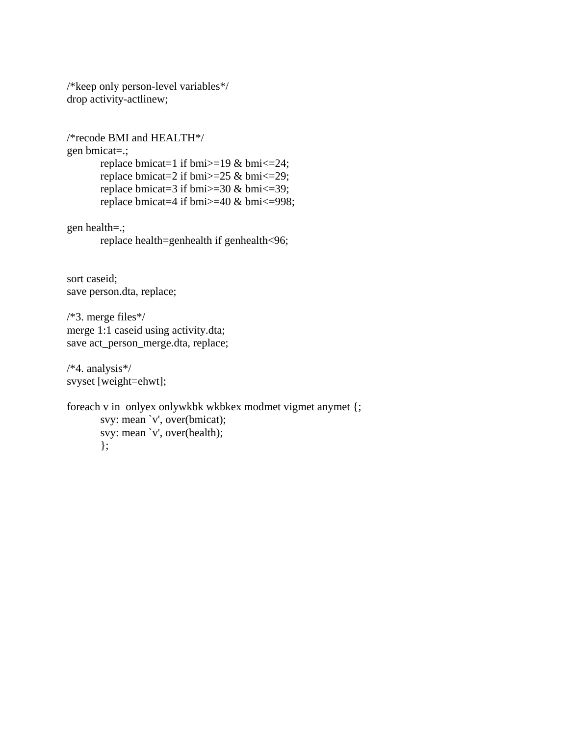/\*keep only person-level variables\*/ drop activity-actlinew;

/\*recode BMI and HEALTH\*/ gen bmicat=.; replace bmicat=1 if bmi $>$ =19 & bmi $\le$ =24; replace bmicat=2 if bmi $>=25$  & bmi $<=29$ ; replace bmicat=3 if bmi $>=$ 30 & bmi $<=$ 39; replace bmicat=4 if bmi>=40 & bmi<=998; gen health=.; replace health=genhealth if genhealth<96; sort caseid; save person.dta, replace;

/\*3. merge files\*/ merge 1:1 caseid using activity.dta; save act\_person\_merge.dta, replace;

/\*4. analysis\*/ svyset [weight=ehwt];

```
foreach v in onlyex onlywkbk wkbkex modmet vigmet anymet {; 
        svy: mean `v', over(bmicat); 
        svy: mean `v', over(health); 
        };
```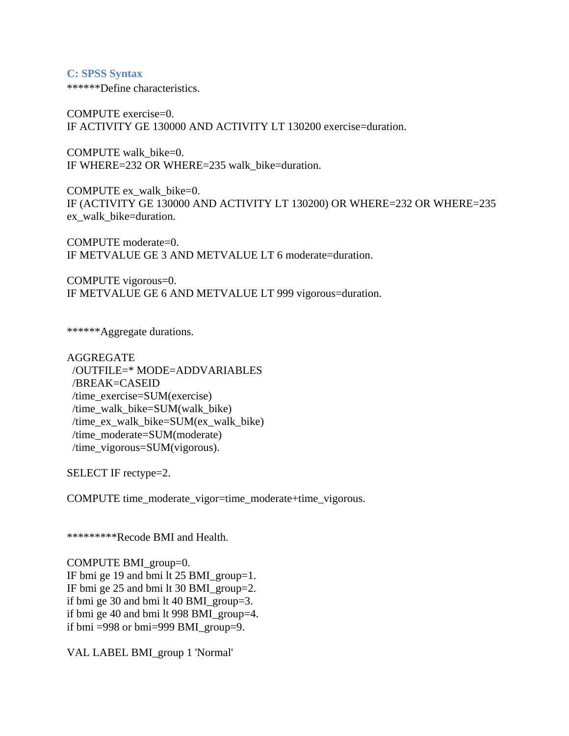#### **C: SPSS Syntax**

\*\*\*\*\*\*Define characteristics.

COMPUTE exercise=0. IF ACTIVITY GE 130000 AND ACTIVITY LT 130200 exercise=duration.

COMPUTE walk bike=0. IF WHERE=232 OR WHERE=235 walk\_bike=duration.

COMPUTE ex\_walk\_bike=0. IF (ACTIVITY GE 130000 AND ACTIVITY LT 130200) OR WHERE=232 OR WHERE=235 ex walk bike=duration.

COMPUTE moderate=0. IF METVALUE GE 3 AND METVALUE LT 6 moderate=duration.

COMPUTE vigorous=0. IF METVALUE GE 6 AND METVALUE LT 999 vigorous=duration.

\*\*\*\*\*\*Aggregate durations.

AGGREGATE /OUTFILE=\* MODE=ADDVARIABLES /BREAK=CASEID /time\_exercise=SUM(exercise) /time\_walk\_bike=SUM(walk\_bike) /time\_ex\_walk\_bike=SUM(ex\_walk\_bike) /time\_moderate=SUM(moderate) /time\_vigorous=SUM(vigorous).

SELECT IF rectype=2.

COMPUTE time\_moderate\_vigor=time\_moderate+time\_vigorous.

\*\*\*\*\*\*\*\*\*Recode BMI and Health.

COMPUTE BMI\_group=0. IF bmi ge 19 and bmi lt 25 BMI\_group=1. IF bmi ge 25 and bmi lt 30 BMI\_group=2. if bmi ge 30 and bmi lt 40 BMI\_group=3. if bmi ge 40 and bmi lt 998 BMI\_group=4. if bmi =998 or bmi=999 BMI\_group=9.

VAL LABEL BMI\_group 1 'Normal'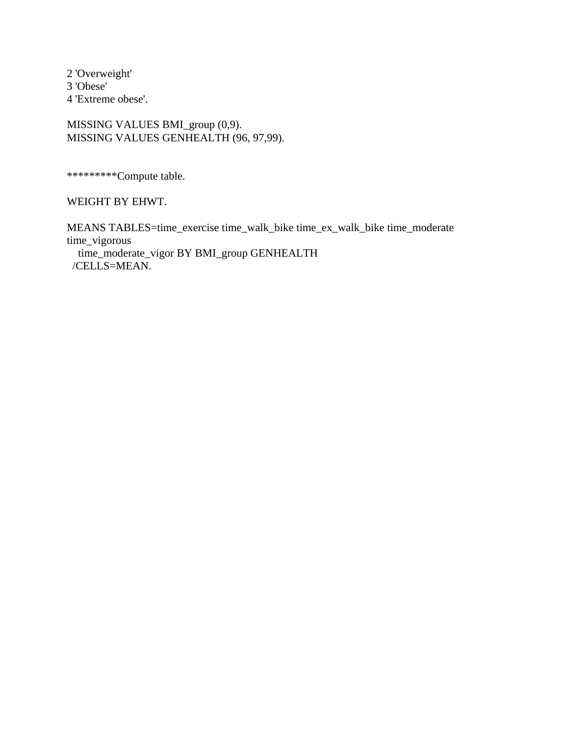2 'Overweight' 3 'Obese' 4 'Extreme obese'.

MISSING VALUES BMI\_group (0,9). MISSING VALUES GENHEALTH (96, 97,99).

\*\*\*\*\*\*\*\*\*Compute table.

WEIGHT BY EHWT.

MEANS TABLES=time\_exercise time\_walk\_bike time\_ex\_walk\_bike time\_moderate time\_vigorous time\_moderate\_vigor BY BMI\_group GENHEALTH /CELLS=MEAN.